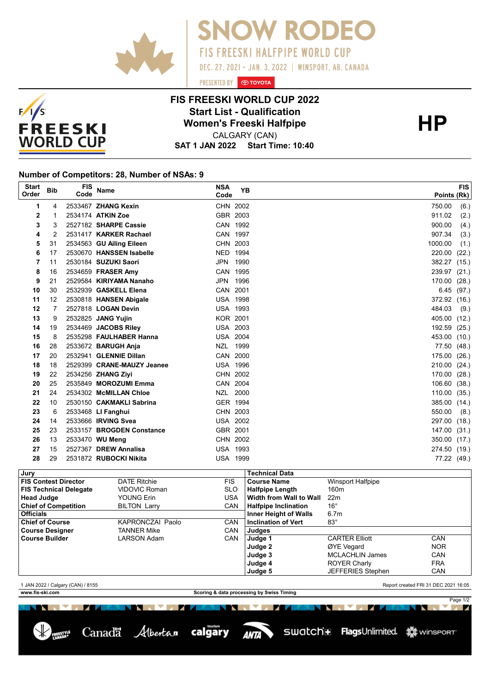



## **FIS FREESKI WORLD CUP 2022 Start List - Qualification<br>
Women's Freeski Halfpipe<br>
CALGARY (CAN)**

PRESENTED BY **O TOYOTA** 

**SNOW RODEO** 

DEC. 27, 2021 - JAN. 3, 2022 | WINSPORT, AB. CANADA

**FIS FREESKI HALFPIPE WORLD CUP** 

**SAT 1 JAN 2022 Start Time: 10:40** CALGARY (CAN)

## **Number of Competitors: 28, Number of NSAs: 9**

| <b>Start</b><br>Order | <b>Bib</b> | <b>FIS</b><br>Code | <b>Name</b>                | <b>NSA</b><br>Code | <b>YB</b> | <b>FIS</b><br>Points (Rk) |
|-----------------------|------------|--------------------|----------------------------|--------------------|-----------|---------------------------|
| 1                     | 4          |                    | 2533467 ZHANG Kexin        | CHN 2002           |           | 750.00<br>(6.)            |
| 2                     |            |                    | 2534174 ATKIN Zoe          | GBR 2003           |           | 911.02<br>(2.)            |
| 3                     | 3          |                    | 2527182 SHARPE Cassie      | CAN 1992           |           | (4.)<br>900.00            |
| 4                     | 2          |                    | 2531417 KARKER Rachael     | CAN 1997           |           | 907.34<br>(3.)            |
| 5                     | 31         |                    | 2534563 GU Ailing Eileen   | CHN 2003           |           | (1.)<br>1000.00           |
| 6                     | 17         |                    | 2530670 HANSSEN Isabelle   | NED 1994           |           | 220.00<br>(22.)           |
| 7                     | 11         |                    | 2530184 SUZUKI Saori       | JPN 1990           |           | 382.27<br>(15.)           |
| 8                     | 16         |                    | 2534659 FRASER Amy         | CAN 1995           |           | 239.97<br>(21.)           |
| 9                     | 21         |                    | 2529584 KIRIYAMA Nanaho    | JPN 1996           |           | 170.00<br>(28.)           |
| 10                    | 30         |                    | 2532939 GASKELL Elena      | CAN 2001           |           | 6.45<br>(97.)             |
| 11                    | 12         |                    | 2530818 HANSEN Abigale     | <b>USA 1998</b>    |           | 372.92<br>(16.)           |
| 12                    |            |                    | 2527818 <b>LOGAN Devin</b> | <b>USA 1993</b>    |           | 484.03<br>(9.)            |
| 13                    | 9          |                    | 2532825 JANG Yujin         | <b>KOR 2001</b>    |           | 405.00<br>(12.)           |
| 14                    | 19         |                    | 2534469 JACOBS Riley       | <b>USA 2003</b>    |           | 192.59<br>(25.)           |
| 15                    | 8          |                    | 2535298 FAULHABER Hanna    | <b>USA 2004</b>    |           | 453.00<br>(10.)           |
| 16                    | 28         |                    | 2533672 BARUGH Anja        | NZL 1999           |           | 77.50<br>(48.)            |
| 17                    | 20         |                    | 2532941 GLENNIE Dillan     | CAN 2000           |           | 175.00<br>(26.)           |
| 18                    | 18         |                    | 2529399 CRANE-MAUZY Jeanee | <b>USA 1996</b>    |           | 210.00<br>(24.)           |
| 19                    | 22         |                    | 2534256 ZHANG Zivi         | CHN 2002           |           | 170.00<br>(28.)           |
| 20                    | 25         |                    | 2535849 MOROZUMI Emma      | CAN 2004           |           | 106.60<br>(38.)           |
| 21                    | 24         |                    | 2534302 McMILLAN Chloe     | NZL 2000           |           | 110.00<br>(35.)           |
| 22                    | 10         |                    | 2530150 CAKMAKLI Sabrina   | GER 1994           |           | 385.00<br>(14.)           |
| 23                    | 6          |                    | 2533468 LI Fanghui         | CHN 2003           |           | 550.00<br>(8.)            |
| 24                    | 14         |                    | 2533666 <b>IRVING Svea</b> | <b>USA 2002</b>    |           | 297.00<br>(18.)           |
| 25                    | 23         |                    | 2533157 BROGDEN Constance  | GBR 2001           |           | 147.00<br>(31.)           |
| 26                    | 13         |                    | 2533470 WU Meng            | CHN 2002           |           | 350.00<br>(17.)           |
| 27                    | 15         |                    | 2527367 DREW Annalisa      | <b>USA 1993</b>    |           | 274.50<br>(19.)           |
| 28                    | 29         |                    | 2531872 RUBOCKI Nikita     | <b>USA 1999</b>    |           | 77.22 (49.)               |

| Jury                          |                     |                                                  | <b>Technical Data</b>      |                          |            |
|-------------------------------|---------------------|--------------------------------------------------|----------------------------|--------------------------|------------|
| <b>FIS Contest Director</b>   | <b>DATE Ritchie</b> | <b>FIS</b>                                       | <b>Course Name</b>         | Winsport Halfpipe        |            |
| <b>FIS Technical Delegate</b> | VIDOVIC Roman       | <b>SLO</b>                                       | <b>Halfpipe Length</b>     | 160 <sub>m</sub>         |            |
| <b>Head Judge</b>             | YOUNG Erin          | USA                                              | Width from Wall to Wall    | 22 <sub>m</sub>          |            |
| <b>Chief of Competition</b>   | <b>BILTON Larry</b> | <b>CAN</b>                                       | Halfpipe Inclination       | $16^{\circ}$             |            |
| <b>Officials</b>              |                     | <b>Inner Height of Walls</b><br>6.7 <sub>m</sub> |                            |                          |            |
| <b>Chief of Course</b>        | KAPRONCZAI Paolo    | <b>CAN</b>                                       | <b>Inclination of Vert</b> | $83^\circ$               |            |
| <b>Course Designer</b>        | <b>TANNER Mike</b>  | <b>CAN</b>                                       | Judges                     |                          |            |
| <b>Course Builder</b>         | LARSON Adam         | <b>CAN</b>                                       | Judge 1                    | <b>CARTER Elliott</b>    | <b>CAN</b> |
|                               |                     |                                                  | Judge 2                    | ØYE Vegard               | <b>NOR</b> |
|                               |                     |                                                  | Judge 3                    | <b>MCLACHLIN James</b>   | CAN        |
|                               |                     |                                                  | Judge 4                    | <b>ROYER Charly</b>      | <b>FRA</b> |
|                               |                     |                                                  | Judge 5                    | <b>JEFFERIES Stephen</b> | <b>CAN</b> |
|                               |                     |                                                  |                            |                          |            |

1 JAN 2022 / Calgary (CAN) / 8155 Report created FRI 31 DEC 2021 16:05

NN MAR

Page 1/2

**www.fis-ski.com Scoring & data processing by Swiss Timing**



NN V 71

ANTA

**YE**